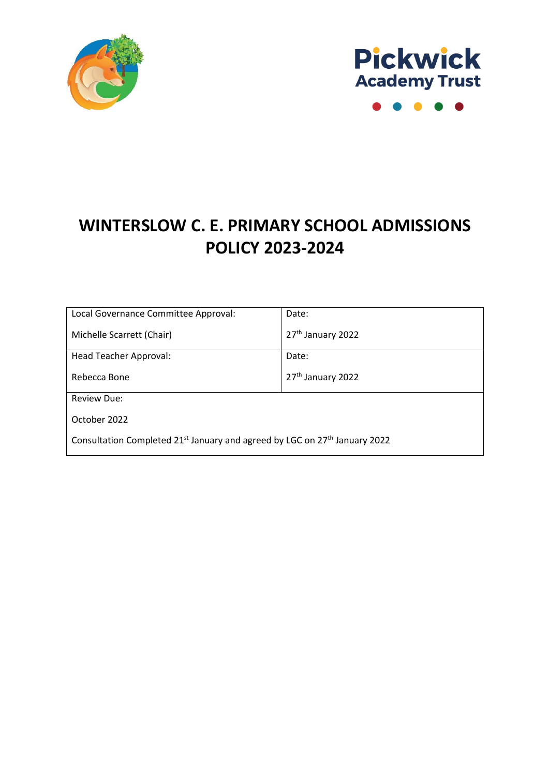



 $\bullet$  $\bullet$ 

### **WINTERSLOW C. E. PRIMARY SCHOOL ADMISSIONS POLICY 2023-2024**

| Local Governance Committee Approval:                                                               | Date:                         |
|----------------------------------------------------------------------------------------------------|-------------------------------|
| Michelle Scarrett (Chair)                                                                          | 27 <sup>th</sup> January 2022 |
| Head Teacher Approval:                                                                             | Date:                         |
| Rebecca Bone                                                                                       | 27 <sup>th</sup> January 2022 |
| <b>Review Due:</b>                                                                                 |                               |
| October 2022                                                                                       |                               |
| Consultation Completed 21 <sup>st</sup> January and agreed by LGC on 27 <sup>th</sup> January 2022 |                               |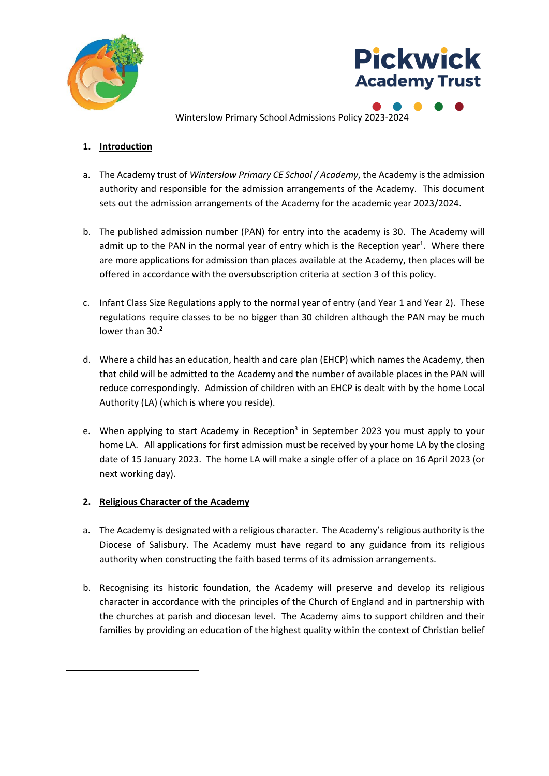



Winterslow Primary School Admissions Policy 2023-2024

#### **1. Introduction**

- a. The Academy trust of *Winterslow Primary CE School / Academy*, the Academy is the admission authority and responsible for the admission arrangements of the Academy. This document sets out the admission arrangements of the Academy for the academic year 2023/2024.
- b. The published admission number (PAN) for entry into the academy is 30. The Academy will admit up to the PAN in the normal year of entry which is the Reception year<sup>1</sup>. Where there are more applications for admission than places available at the Academy, then places will be offered in accordance with the oversubscription criteria at section 3 of this policy.
- c. Infant Class Size Regulations apply to the normal year of entry (and Year 1 and Year 2). These regulations require classes to be no bigger than 30 children although the PAN may be much lower than 30. **2**
- d. Where a child has an education, health and care plan (EHCP) which names the Academy, then that child will be admitted to the Academy and the number of available places in the PAN will reduce correspondingly. Admission of children with an EHCP is dealt with by the home Local Authority (LA) (which is where you reside).
- e. When applying to start Academy in Reception<sup>3</sup> in September 2023 you must apply to your home LA. All applications for first admission must be received by your home LA by the closing date of 15 January 2023. The home LA will make a single offer of a place on 16 April 2023 (or next working day).

#### **2. Religious Character of the Academy**

- a. The Academy is designated with a religious character. The Academy's religious authority is the Diocese of Salisbury. The Academy must have regard to any guidance from its religious authority when constructing the faith based terms of its admission arrangements.
- b. Recognising its historic foundation, the Academy will preserve and develop its religious character in accordance with the principles of the Church of England and in partnership with the churches at parish and diocesan level. The Academy aims to support children and their families by providing an education of the highest quality within the context of Christian belief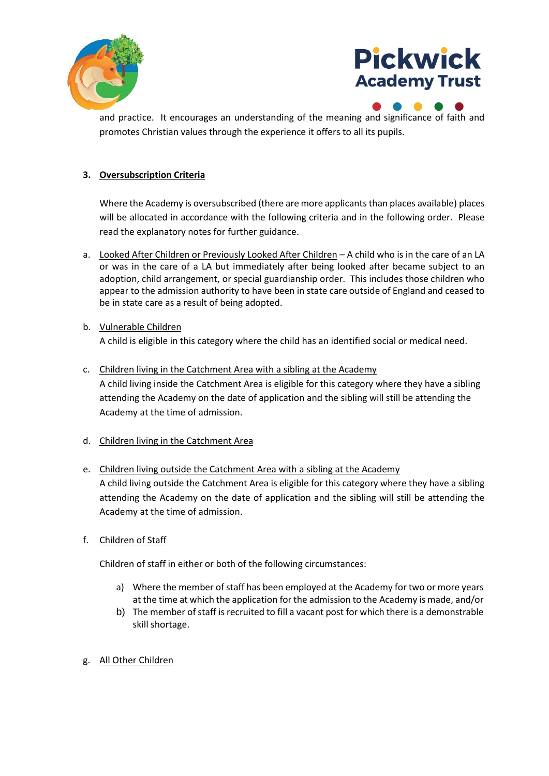



and practice. It encourages an understanding of the meaning and significance of faith and promotes Christian values through the experience it offers to all its pupils.

#### **3. Oversubscription Criteria**

Where the Academy is oversubscribed (there are more applicants than places available) places will be allocated in accordance with the following criteria and in the following order. Please read the explanatory notes for further guidance.

- a. Looked After Children or Previously Looked After Children A child who is in the care of an LA or was in the care of a LA but immediately after being looked after became subject to an adoption, child arrangement, or special guardianship order. This includes those children who appear to the admission authority to have been in state care outside of England and ceased to be in state care as a result of being adopted.
- b. Vulnerable Children

A child is eligible in this category where the child has an identified social or medical need.

- c. Children living in the Catchment Area with a sibling at the Academy A child living inside the Catchment Area is eligible for this category where they have a sibling attending the Academy on the date of application and the sibling will still be attending the Academy at the time of admission.
- d. Children living in the Catchment Area
- e. Children living outside the Catchment Area with a sibling at the Academy A child living outside the Catchment Area is eligible for this category where they have a sibling attending the Academy on the date of application and the sibling will still be attending the Academy at the time of admission.
- f. Children of Staff

Children of staff in either or both of the following circumstances:

- a) Where the member of staff has been employed at the Academy for two or more years at the time at which the application for the admission to the Academy is made, and/or
- b) The member of staff is recruited to fill a vacant post for which there is a demonstrable skill shortage.
- g. All Other Children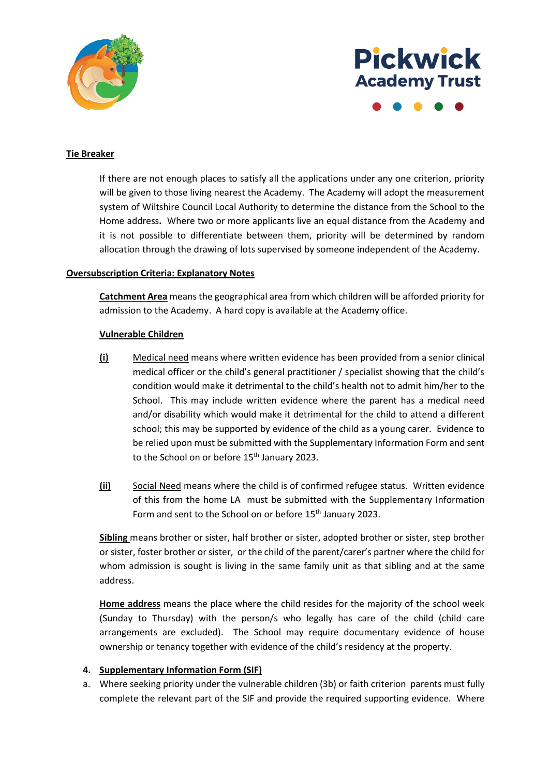

# **Pickwick Academy Trust**

#### **Tie Breaker**

If there are not enough places to satisfy all the applications under any one criterion, priority will be given to those living nearest the Academy. The Academy will adopt the measurement system of Wiltshire Council Local Authority to determine the distance from the School to the Home address**.** Where two or more applicants live an equal distance from the Academy and it is not possible to differentiate between them, priority will be determined by random allocation through the drawing of lots supervised by someone independent of the Academy.

#### **Oversubscription Criteria: Explanatory Notes**

**Catchment Area** means the geographical area from which children will be afforded priority for admission to the Academy. A hard copy is available at the Academy office.

#### **Vulnerable Children**

- **(i)** Medical need means where written evidence has been provided from a senior clinical medical officer or the child's general practitioner / specialist showing that the child's condition would make it detrimental to the child's health not to admit him/her to the School. This may include written evidence where the parent has a medical need and/or disability which would make it detrimental for the child to attend a different school; this may be supported by evidence of the child as a young carer. Evidence to be relied upon must be submitted with the Supplementary Information Form and sent to the School on or before 15<sup>th</sup> January 2023.
- **(ii)** Social Need means where the child is of confirmed refugee status. Written evidence of this from the home LA must be submitted with the Supplementary Information Form and sent to the School on or before 15<sup>th</sup> January 2023.

**Sibling** means brother or sister, half brother or sister, adopted brother or sister, step brother or sister, foster brother or sister, or the child of the parent/carer's partner where the child for whom admission is sought is living in the same family unit as that sibling and at the same address.

**Home address** means the place where the child resides for the majority of the school week (Sunday to Thursday) with the person/s who legally has care of the child (child care arrangements are excluded). The School may require documentary evidence of house ownership or tenancy together with evidence of the child's residency at the property.

#### **4. Supplementary Information Form (SIF)**

a. Where seeking priority under the vulnerable children (3b) or faith criterion parents must fully complete the relevant part of the SIF and provide the required supporting evidence. Where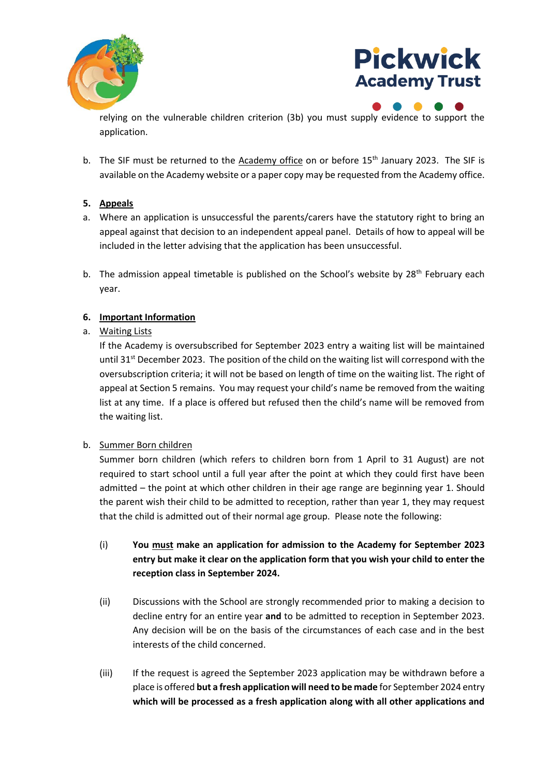



relying on the vulnerable children criterion (3b) you must supply evidence to support the application.

b. The SIF must be returned to the Academy office on or before 15<sup>th</sup> January 2023. The SIF is available on the Academy website or a paper copy may be requested from the Academy office.

#### **5. Appeals**

- a. Where an application is unsuccessful the parents/carers have the statutory right to bring an appeal against that decision to an independent appeal panel. Details of how to appeal will be included in the letter advising that the application has been unsuccessful.
- b. The admission appeal timetable is published on the School's website by  $28<sup>th</sup>$  February each year.

#### **6. Important Information**

#### a. Waiting Lists

If the Academy is oversubscribed for September 2023 entry a waiting list will be maintained until 31<sup>st</sup> December 2023. The position of the child on the waiting list will correspond with the oversubscription criteria; it will not be based on length of time on the waiting list. The right of appeal at Section 5 remains. You may request your child's name be removed from the waiting list at any time. If a place is offered but refused then the child's name will be removed from the waiting list.

#### b. Summer Born children

Summer born children (which refers to children born from 1 April to 31 August) are not required to start school until a full year after the point at which they could first have been admitted – the point at which other children in their age range are beginning year 1. Should the parent wish their child to be admitted to reception, rather than year 1, they may request that the child is admitted out of their normal age group. Please note the following:

- (i) **You must make an application for admission to the Academy for September 2023 entry but make it clear on the application form that you wish your child to enter the reception class in September 2024.**
- (ii) Discussions with the School are strongly recommended prior to making a decision to decline entry for an entire year **and** to be admitted to reception in September 2023. Any decision will be on the basis of the circumstances of each case and in the best interests of the child concerned.
- (iii) If the request is agreed the September 2023 application may be withdrawn before a place is offered **but a fresh application will need to be made** for September 2024 entry **which will be processed as a fresh application along with all other applications and**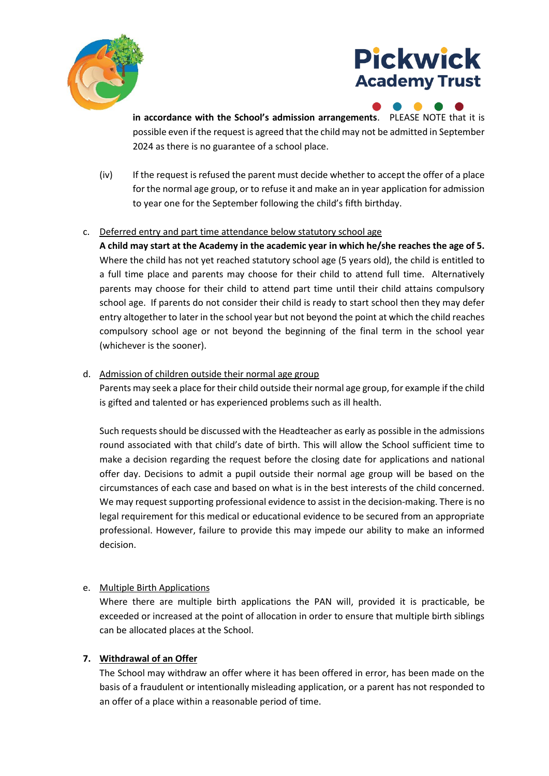

## **Pickwick Academy Trust**

**in accordance with the School's admission arrangements**. PLEASE NOTE that it is possible even if the request is agreed that the child may not be admitted in September 2024 as there is no guarantee of a school place.

(iv) If the request is refused the parent must decide whether to accept the offer of a place for the normal age group, or to refuse it and make an in year application for admission to year one for the September following the child's fifth birthday.

#### c. Deferred entry and part time attendance below statutory school age

**A child may start at the Academy in the academic year in which he/she reaches the age of 5.**  Where the child has not yet reached statutory school age (5 years old), the child is entitled to a full time place and parents may choose for their child to attend full time. Alternatively parents may choose for their child to attend part time until their child attains compulsory school age. If parents do not consider their child is ready to start school then they may defer entry altogether to later in the school year but not beyond the point at which the child reaches compulsory school age or not beyond the beginning of the final term in the school year (whichever is the sooner).

#### d. Admission of children outside their normal age group

Parents may seek a place for their child outside their normal age group, for example if the child is gifted and talented or has experienced problems such as ill health.

Such requests should be discussed with the Headteacher as early as possible in the admissions round associated with that child's date of birth. This will allow the School sufficient time to make a decision regarding the request before the closing date for applications and national offer day. Decisions to admit a pupil outside their normal age group will be based on the circumstances of each case and based on what is in the best interests of the child concerned. We may request supporting professional evidence to assist in the decision-making. There is no legal requirement for this medical or educational evidence to be secured from an appropriate professional. However, failure to provide this may impede our ability to make an informed decision.

#### e. Multiple Birth Applications

Where there are multiple birth applications the PAN will, provided it is practicable, be exceeded or increased at the point of allocation in order to ensure that multiple birth siblings can be allocated places at the School.

#### **7. Withdrawal of an Offer**

The School may withdraw an offer where it has been offered in error, has been made on the basis of a fraudulent or intentionally misleading application, or a parent has not responded to an offer of a place within a reasonable period of time.